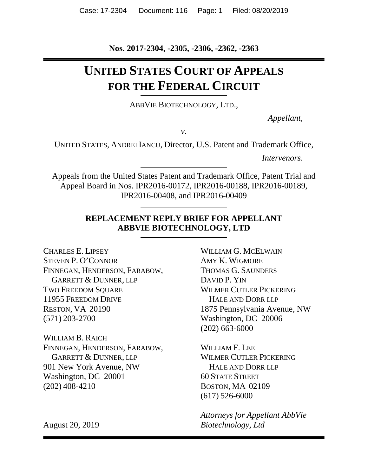**Nos. 2017-2304, -2305, -2306, -2362, -2363**

# **UNITED STATES COURT OF APPEALS FOR THE FEDERAL CIRCUIT**

ABBVIE BIOTECHNOLOGY, LTD.,

*Appellant*,

*v.*

UNITED STATES, ANDREI IANCU, Director, U.S. Patent and Trademark Office,

*Intervenors*.

Appeals from the United States Patent and Trademark Office, Patent Trial and Appeal Board in Nos. IPR2016-00172, IPR2016-00188, IPR2016-00189, IPR2016-00408, and IPR2016-00409

## **REPLACEMENT REPLY BRIEF FOR APPELLANT ABBVIE BIOTECHNOLOGY, LTD**

CHARLES E. LIPSEY STEVEN P. O'CONNOR FINNEGAN, HENDERSON, FARABOW, GARRETT & DUNNER, LLP TWO FREEDOM SQUARE 11955 FREEDOM DRIVE RESTON, VA 20190 (571) 203-2700

WILLIAM B. RAICH FINNEGAN, HENDERSON, FARABOW, GARRETT & DUNNER, LLP 901 New York Avenue, NW Washington, DC 20001 (202) 408-4210

August 20, 2019

WILLIAM G. MCELWAIN AMY K. WIGMORE THOMAS G. SAUNDERS DAVID P. YIN WILMER CUTLER PICKERING HALE AND DORR LLP 1875 Pennsylvania Avenue, NW Washington, DC 20006 (202) 663-6000

WILLIAM F. LEE WILMER CUTLER PICKERING HALE AND DORR LLP 60 STATE STREET BOSTON, MA 02109 (617) 526-6000

*Attorneys for Appellant AbbVie Biotechnology, Ltd*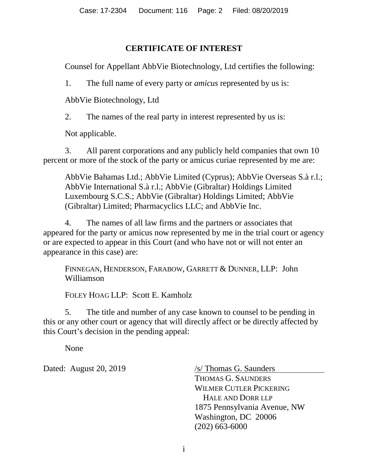## **CERTIFICATE OF INTEREST**

Counsel for Appellant AbbVie Biotechnology, Ltd certifies the following:

1. The full name of every party or *amicus* represented by us is:

AbbVie Biotechnology, Ltd

2. The names of the real party in interest represented by us is:

Not applicable.

3. All parent corporations and any publicly held companies that own 10 percent or more of the stock of the party or amicus curiae represented by me are:

AbbVie Bahamas Ltd.; AbbVie Limited (Cyprus); AbbVie Overseas S.à r.l.; AbbVie International S.à r.l.; AbbVie (Gibraltar) Holdings Limited Luxembourg S.C.S.; AbbVie (Gibraltar) Holdings Limited; AbbVie (Gibraltar) Limited; Pharmacyclics LLC; and AbbVie Inc.

4. The names of all law firms and the partners or associates that appeared for the party or amicus now represented by me in the trial court or agency or are expected to appear in this Court (and who have not or will not enter an appearance in this case) are:

FINNEGAN, HENDERSON, FARABOW, GARRETT & DUNNER, LLP: John Williamson

FOLEY HOAG LLP: Scott E. Kamholz

5. The title and number of any case known to counsel to be pending in this or any other court or agency that will directly affect or be directly affected by this Court's decision in the pending appeal:

None

Dated: August 20, 2019 /s/ Thomas G. Saunders

THOMAS G. SAUNDERS WILMER CUTLER PICKERING HALE AND DORR LLP 1875 Pennsylvania Avenue, NW Washington, DC 20006 (202) 663-6000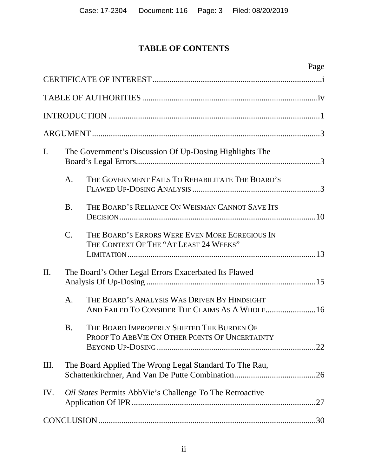## **TABLE OF CONTENTS**

|     |                  | Page                                                                                         |
|-----|------------------|----------------------------------------------------------------------------------------------|
|     |                  |                                                                                              |
|     |                  |                                                                                              |
|     |                  |                                                                                              |
|     |                  |                                                                                              |
| I.  |                  | The Government's Discussion Of Up-Dosing Highlights The                                      |
|     | A.               | THE GOVERNMENT FAILS TO REHABILITATE THE BOARD'S                                             |
|     | <b>B.</b>        | THE BOARD'S RELIANCE ON WEISMAN CANNOT SAVE ITS                                              |
|     | $\overline{C}$ . | THE BOARD'S ERRORS WERE EVEN MORE EGREGIOUS IN<br>THE CONTEXT OF THE "AT LEAST 24 WEEKS"     |
| II. |                  | The Board's Other Legal Errors Exacerbated Its Flawed                                        |
|     | A.               | THE BOARD'S ANALYSIS WAS DRIVEN BY HINDSIGHT                                                 |
|     | <b>B.</b>        | THE BOARD IMPROPERLY SHIFTED THE BURDEN OF<br>PROOF TO ABBVIE ON OTHER POINTS OF UNCERTAINTY |
| Ш.  |                  | The Board Applied The Wrong Legal Standard To The Rau,                                       |
| IV. |                  | Oil States Permits AbbVie's Challenge To The Retroactive<br>.27                              |
|     |                  |                                                                                              |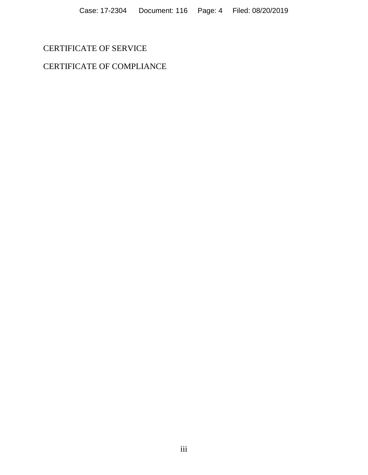## CERTIFICATE OF SERVICE

## CERTIFICATE OF COMPLIANCE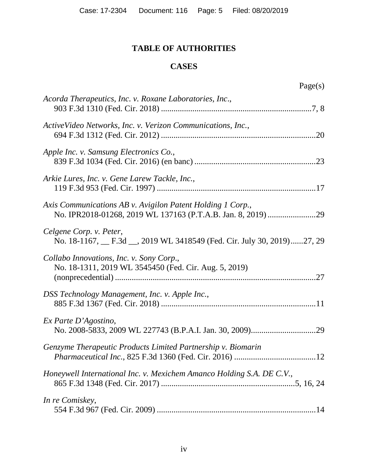## **TABLE OF AUTHORITIES**

## **CASES**

| Acorda Therapeutics, Inc. v. Roxane Laboratories, Inc.,                                           |
|---------------------------------------------------------------------------------------------------|
|                                                                                                   |
| ActiveVideo Networks, Inc. v. Verizon Communications, Inc.,                                       |
| Apple Inc. v. Samsung Electronics Co.,                                                            |
| Arkie Lures, Inc. v. Gene Larew Tackle, Inc.,                                                     |
| Axis Communications AB v. Avigilon Patent Holding 1 Corp.,                                        |
| Celgene Corp. v. Peter,<br>No. 18-1167, F.3d __, 2019 WL 3418549 (Fed. Cir. July 30, 2019)27, 29  |
| Collabo Innovations, Inc. v. Sony Corp.,<br>No. 18-1311, 2019 WL 3545450 (Fed. Cir. Aug. 5, 2019) |
| DSS Technology Management, Inc. v. Apple Inc.,                                                    |
| $Ex$ Parte D'Agostino,                                                                            |
| Genzyme Therapeutic Products Limited Partnership v. Biomarin                                      |
| Honeywell International Inc. v. Mexichem Amanco Holding S.A. DE C.V.,                             |
| In re Comiskey,                                                                                   |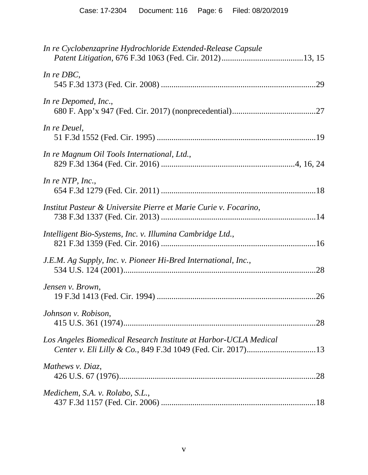| In re Cyclobenzaprine Hydrochloride Extended-Release Capsule     |  |
|------------------------------------------------------------------|--|
| In $re$ DBC,                                                     |  |
| In re Depomed, Inc.,                                             |  |
| In re Deuel,                                                     |  |
| In re Magnum Oil Tools International, Ltd.,                      |  |
| In re NTP, Inc.,                                                 |  |
| Institut Pasteur & Universite Pierre et Marie Curie v. Focarino, |  |
| Intelligent Bio-Systems, Inc. v. Illumina Cambridge Ltd.,        |  |
| J.E.M. Ag Supply, Inc. v. Pioneer Hi-Bred International, Inc.,   |  |
| Jensen v. Brown,                                                 |  |
| Johnson v. Robison,                                              |  |
| Los Angeles Biomedical Research Institute at Harbor-UCLA Medical |  |
| Mathews v. Diaz,                                                 |  |
| Medichem, S.A. v. Rolabo, S.L.,                                  |  |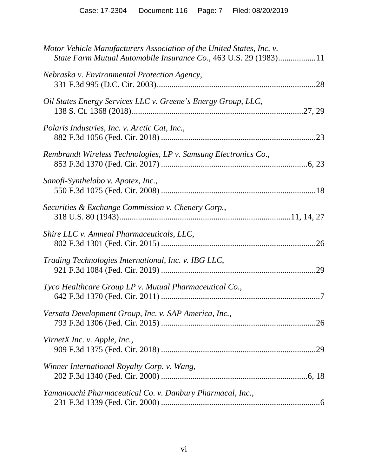| Motor Vehicle Manufacturers Association of the United States, Inc. v.<br>State Farm Mutual Automobile Insurance Co., 463 U.S. 29 (1983)11 |
|-------------------------------------------------------------------------------------------------------------------------------------------|
| Nebraska v. Environmental Protection Agency,                                                                                              |
| Oil States Energy Services LLC v. Greene's Energy Group, LLC,                                                                             |
| Polaris Industries, Inc. v. Arctic Cat, Inc.,                                                                                             |
| Rembrandt Wireless Technologies, LP v. Samsung Electronics Co.,                                                                           |
| Sanofi-Synthelabo v. Apotex, Inc.,                                                                                                        |
| Securities & Exchange Commission v. Chenery Corp.,                                                                                        |
| Shire LLC v. Amneal Pharmaceuticals, LLC,                                                                                                 |
| Trading Technologies International, Inc. v. IBG LLC,                                                                                      |
| Tyco Healthcare Group LP v. Mutual Pharmaceutical Co.,                                                                                    |
| Versata Development Group, Inc. v. SAP America, Inc.,                                                                                     |
| VirnetX Inc. v. Apple, Inc.,                                                                                                              |
| Winner International Royalty Corp. v. Wang,                                                                                               |
| Yamanouchi Pharmaceutical Co. v. Danbury Pharmacal, Inc.,                                                                                 |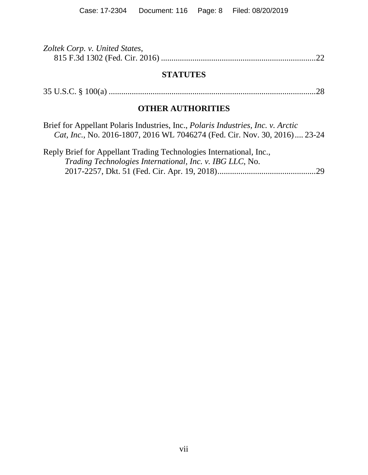| Zoltek Corp. v. United States, |  |
|--------------------------------|--|
|                                |  |

## **STATUTES**

|--|--|--|--|--|

## **OTHER AUTHORITIES**

| Brief for Appellant Polaris Industries, Inc., <i>Polaris Industries, Inc. v. Arctic</i> |  |
|-----------------------------------------------------------------------------------------|--|
| Cat, Inc., No. 2016-1807, 2016 WL 7046274 (Fed. Cir. Nov. 30, 2016) 23-24               |  |

| Reply Brief for Appellant Trading Technologies International, Inc., |  |
|---------------------------------------------------------------------|--|
| <i>Trading Technologies International, Inc. v. IBG LLC, No.</i>     |  |
|                                                                     |  |
|                                                                     |  |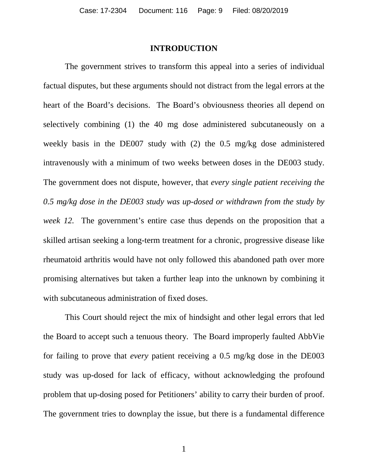#### **INTRODUCTION**

The government strives to transform this appeal into a series of individual factual disputes, but these arguments should not distract from the legal errors at the heart of the Board's decisions. The Board's obviousness theories all depend on selectively combining (1) the 40 mg dose administered subcutaneously on a weekly basis in the DE007 study with (2) the 0.5 mg/kg dose administered intravenously with a minimum of two weeks between doses in the DE003 study. The government does not dispute, however, that *every single patient receiving the 0.5 mg/kg dose in the DE003 study was up-dosed or withdrawn from the study by week 12.* The government's entire case thus depends on the proposition that a skilled artisan seeking a long-term treatment for a chronic, progressive disease like rheumatoid arthritis would have not only followed this abandoned path over more promising alternatives but taken a further leap into the unknown by combining it with subcutaneous administration of fixed doses.

This Court should reject the mix of hindsight and other legal errors that led the Board to accept such a tenuous theory. The Board improperly faulted AbbVie for failing to prove that *every* patient receiving a 0.5 mg/kg dose in the DE003 study was up-dosed for lack of efficacy, without acknowledging the profound problem that up-dosing posed for Petitioners' ability to carry their burden of proof. The government tries to downplay the issue, but there is a fundamental difference

1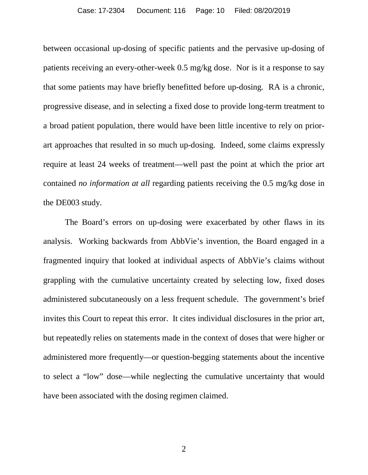between occasional up-dosing of specific patients and the pervasive up-dosing of patients receiving an every-other-week 0.5 mg/kg dose. Nor is it a response to say that some patients may have briefly benefitted before up-dosing. RA is a chronic, progressive disease, and in selecting a fixed dose to provide long-term treatment to a broad patient population, there would have been little incentive to rely on priorart approaches that resulted in so much up-dosing. Indeed, some claims expressly require at least 24 weeks of treatment—well past the point at which the prior art contained *no information at all* regarding patients receiving the 0.5 mg/kg dose in the DE003 study.

The Board's errors on up-dosing were exacerbated by other flaws in its analysis. Working backwards from AbbVie's invention, the Board engaged in a fragmented inquiry that looked at individual aspects of AbbVie's claims without grappling with the cumulative uncertainty created by selecting low, fixed doses administered subcutaneously on a less frequent schedule. The government's brief invites this Court to repeat this error. It cites individual disclosures in the prior art, but repeatedly relies on statements made in the context of doses that were higher or administered more frequently—or question-begging statements about the incentive to select a "low" dose—while neglecting the cumulative uncertainty that would have been associated with the dosing regimen claimed.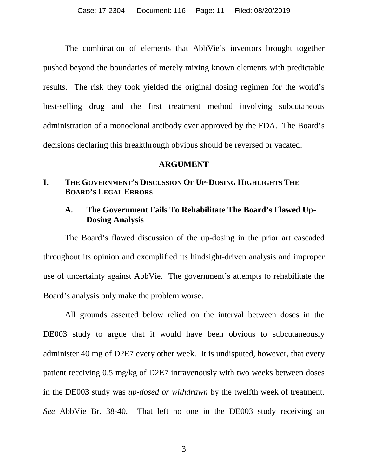The combination of elements that AbbVie's inventors brought together pushed beyond the boundaries of merely mixing known elements with predictable results. The risk they took yielded the original dosing regimen for the world's best-selling drug and the first treatment method involving subcutaneous administration of a monoclonal antibody ever approved by the FDA. The Board's decisions declaring this breakthrough obvious should be reversed or vacated.

#### **ARGUMENT**

## **I. THE GOVERNMENT'S DISCUSSION OF UP-DOSING HIGHLIGHTS THE BOARD'S LEGAL ERRORS**

## **A. The Government Fails To Rehabilitate The Board's Flawed Up-Dosing Analysis**

The Board's flawed discussion of the up-dosing in the prior art cascaded throughout its opinion and exemplified its hindsight-driven analysis and improper use of uncertainty against AbbVie. The government's attempts to rehabilitate the Board's analysis only make the problem worse.

All grounds asserted below relied on the interval between doses in the DE003 study to argue that it would have been obvious to subcutaneously administer 40 mg of D2E7 every other week. It is undisputed, however, that every patient receiving 0.5 mg/kg of D2E7 intravenously with two weeks between doses in the DE003 study was *up-dosed or withdrawn* by the twelfth week of treatment. *See* AbbVie Br. 38-40. That left no one in the DE003 study receiving an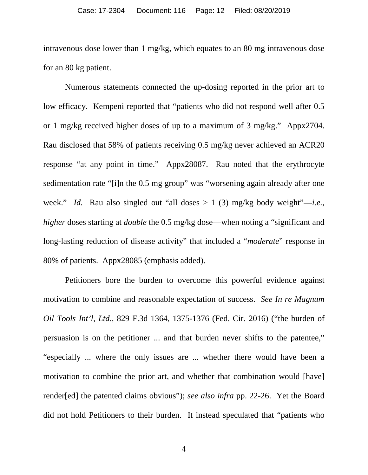intravenous dose lower than 1 mg/kg, which equates to an 80 mg intravenous dose for an 80 kg patient.

Numerous statements connected the up-dosing reported in the prior art to low efficacy. Kempeni reported that "patients who did not respond well after 0.5 or 1 mg/kg received higher doses of up to a maximum of 3 mg/kg." Appx2704. Rau disclosed that 58% of patients receiving 0.5 mg/kg never achieved an ACR20 response "at any point in time." Appx28087. Rau noted that the erythrocyte sedimentation rate "[i]n the 0.5 mg group" was "worsening again already after one week." *Id.* Rau also singled out "all doses  $> 1$  (3) mg/kg body weight"—*i.e.*, *higher* doses starting at *double* the 0.5 mg/kg dose—when noting a "significant and long-lasting reduction of disease activity" that included a "*moderate*" response in 80% of patients. Appx28085 (emphasis added).

Petitioners bore the burden to overcome this powerful evidence against motivation to combine and reasonable expectation of success. *See In re Magnum Oil Tools Int'l, Ltd.*, 829 F.3d 1364, 1375-1376 (Fed. Cir. 2016) ("the burden of persuasion is on the petitioner ... and that burden never shifts to the patentee," "especially ... where the only issues are ... whether there would have been a motivation to combine the prior art, and whether that combination would [have] render[ed] the patented claims obvious"); *see also infra* pp. 22-26. Yet the Board did not hold Petitioners to their burden. It instead speculated that "patients who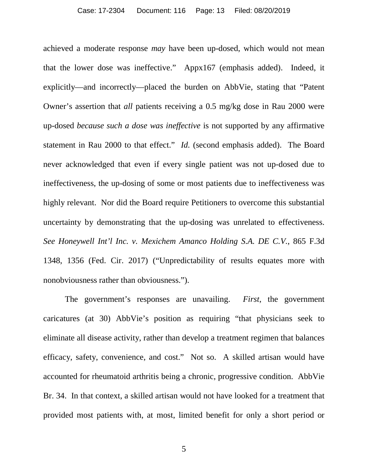achieved a moderate response *may* have been up-dosed, which would not mean that the lower dose was ineffective." Appx167 (emphasis added). Indeed, it explicitly—and incorrectly—placed the burden on AbbVie, stating that "Patent Owner's assertion that *all* patients receiving a 0.5 mg/kg dose in Rau 2000 were up-dosed *because such a dose was ineffective* is not supported by any affirmative statement in Rau 2000 to that effect." *Id.* (second emphasis added). The Board never acknowledged that even if every single patient was not up-dosed due to ineffectiveness, the up-dosing of some or most patients due to ineffectiveness was highly relevant. Nor did the Board require Petitioners to overcome this substantial uncertainty by demonstrating that the up-dosing was unrelated to effectiveness. *See Honeywell Int'l Inc. v. Mexichem Amanco Holding S.A. DE C.V.*, 865 F.3d 1348, 1356 (Fed. Cir. 2017) ("Unpredictability of results equates more with nonobviousness rather than obviousness.").

The government's responses are unavailing. *First*, the government caricatures (at 30) AbbVie's position as requiring "that physicians seek to eliminate all disease activity, rather than develop a treatment regimen that balances efficacy, safety, convenience, and cost." Not so. A skilled artisan would have accounted for rheumatoid arthritis being a chronic, progressive condition. AbbVie Br. 34. In that context, a skilled artisan would not have looked for a treatment that provided most patients with, at most, limited benefit for only a short period or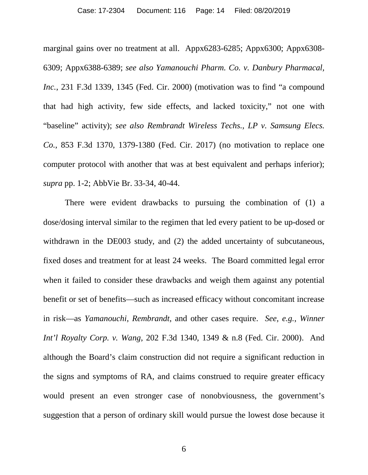#### Case: 17-2304 Document: 116 Page: 14 Filed: 08/20/2019

marginal gains over no treatment at all. Appx6283-6285; Appx6300; Appx6308- 6309; Appx6388-6389; *see also Yamanouchi Pharm. Co. v. Danbury Pharmacal, Inc.*, 231 F.3d 1339, 1345 (Fed. Cir. 2000) (motivation was to find "a compound that had high activity, few side effects, and lacked toxicity," not one with "baseline" activity); *see also Rembrandt Wireless Techs., LP v. Samsung Elecs. Co.*, 853 F.3d 1370, 1379-1380 (Fed. Cir. 2017) (no motivation to replace one computer protocol with another that was at best equivalent and perhaps inferior); *supra* pp. 1-2; AbbVie Br. 33-34, 40-44.

There were evident drawbacks to pursuing the combination of (1) a dose/dosing interval similar to the regimen that led every patient to be up-dosed or withdrawn in the DE003 study, and (2) the added uncertainty of subcutaneous, fixed doses and treatment for at least 24 weeks. The Board committed legal error when it failed to consider these drawbacks and weigh them against any potential benefit or set of benefits—such as increased efficacy without concomitant increase in risk—as *Yamanouchi*, *Rembrandt*, and other cases require. *See, e.g.*, *Winner Int'l Royalty Corp. v. Wang*, 202 F.3d 1340, 1349 & n.8 (Fed. Cir. 2000). And although the Board's claim construction did not require a significant reduction in the signs and symptoms of RA, and claims construed to require greater efficacy would present an even stronger case of nonobviousness, the government's suggestion that a person of ordinary skill would pursue the lowest dose because it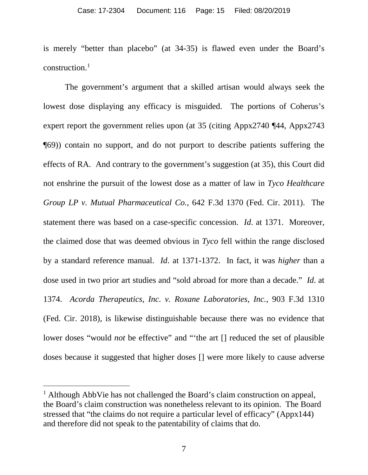is merely "better than placebo" (at 34-35) is flawed even under the Board's  $construction<sup>1</sup>$  $construction<sup>1</sup>$  $construction<sup>1</sup>$ 

The government's argument that a skilled artisan would always seek the lowest dose displaying any efficacy is misguided. The portions of Coherus's expert report the government relies upon (at 35 (citing Appx2740 ¶44, Appx2743 ¶69)) contain no support, and do not purport to describe patients suffering the effects of RA. And contrary to the government's suggestion (at 35), this Court did not enshrine the pursuit of the lowest dose as a matter of law in *Tyco Healthcare Group LP v. Mutual Pharmaceutical Co.*, 642 F.3d 1370 (Fed. Cir. 2011). The statement there was based on a case-specific concession. *Id*. at 1371. Moreover, the claimed dose that was deemed obvious in *Tyco* fell within the range disclosed by a standard reference manual. *Id*. at 1371-1372. In fact, it was *higher* than a dose used in two prior art studies and "sold abroad for more than a decade." *Id*. at 1374. *Acorda Therapeutics, Inc. v. Roxane Laboratories, Inc.*, 903 F.3d 1310 (Fed. Cir. 2018), is likewise distinguishable because there was no evidence that lower doses "would *not* be effective" and "the art [] reduced the set of plausible doses because it suggested that higher doses [] were more likely to cause adverse

<span id="page-14-0"></span><sup>&</sup>lt;sup>1</sup> Although AbbVie has not challenged the Board's claim construction on appeal, the Board's claim construction was nonetheless relevant to its opinion. The Board stressed that "the claims do not require a particular level of efficacy" (Appx144) and therefore did not speak to the patentability of claims that do.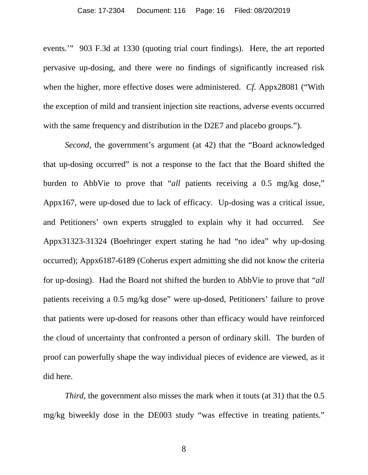events.'" 903 F.3d at 1330 (quoting trial court findings). Here, the art reported pervasive up-dosing, and there were no findings of significantly increased risk when the higher, more effective doses were administered. *Cf.* Appx28081 ("With the exception of mild and transient injection site reactions, adverse events occurred with the same frequency and distribution in the D2E7 and placebo groups.").

*Second*, the government's argument (at 42) that the "Board acknowledged that up-dosing occurred" is not a response to the fact that the Board shifted the burden to AbbVie to prove that "*all* patients receiving a 0.5 mg/kg dose," Appx167, were up-dosed due to lack of efficacy. Up-dosing was a critical issue, and Petitioners' own experts struggled to explain why it had occurred. *See* Appx31323-31324 (Boehringer expert stating he had "no idea" why up-dosing occurred); Appx6187-6189 (Coherus expert admitting she did not know the criteria for up-dosing). Had the Board not shifted the burden to AbbVie to prove that "*all* patients receiving a 0.5 mg/kg dose" were up-dosed, Petitioners' failure to prove that patients were up-dosed for reasons other than efficacy would have reinforced the cloud of uncertainty that confronted a person of ordinary skill. The burden of proof can powerfully shape the way individual pieces of evidence are viewed, as it did here.

*Third*, the government also misses the mark when it touts (at 31) that the 0.5 mg/kg biweekly dose in the DE003 study "was effective in treating patients."

8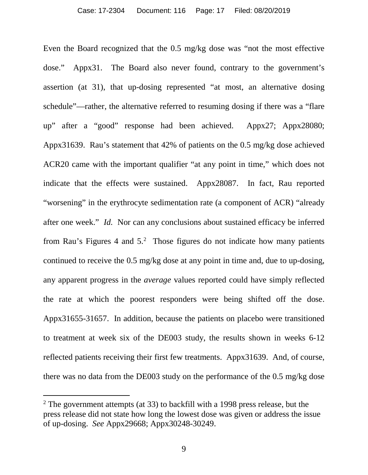Even the Board recognized that the 0.5 mg/kg dose was "not the most effective dose." Appx31. The Board also never found, contrary to the government's assertion (at 31), that up-dosing represented "at most, an alternative dosing schedule"—rather, the alternative referred to resuming dosing if there was a "flare up" after a "good" response had been achieved. Appx27; Appx28080; Appx31639. Rau's statement that 42% of patients on the 0.5 mg/kg dose achieved ACR20 came with the important qualifier "at any point in time," which does not indicate that the effects were sustained. Appx28087. In fact, Rau reported "worsening" in the erythrocyte sedimentation rate (a component of ACR) "already after one week." *Id.* Nor can any conclusions about sustained efficacy be inferred from Rau's Figures 4 and  $5<sup>2</sup>$  $5<sup>2</sup>$  $5<sup>2</sup>$ . Those figures do not indicate how many patients continued to receive the 0.5 mg/kg dose at any point in time and, due to up-dosing, any apparent progress in the *average* values reported could have simply reflected the rate at which the poorest responders were being shifted off the dose. Appx31655-31657. In addition, because the patients on placebo were transitioned to treatment at week six of the DE003 study, the results shown in weeks 6-12 reflected patients receiving their first few treatments. Appx31639. And, of course, there was no data from the DE003 study on the performance of the 0.5 mg/kg dose

<span id="page-16-0"></span> $2$  The government attempts (at 33) to backfill with a 1998 press release, but the press release did not state how long the lowest dose was given or address the issue of up-dosing. *See* Appx29668; Appx30248-30249.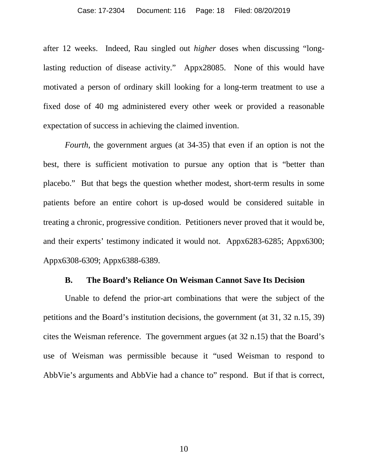after 12 weeks. Indeed, Rau singled out *higher* doses when discussing "longlasting reduction of disease activity." Appx28085. None of this would have motivated a person of ordinary skill looking for a long-term treatment to use a fixed dose of 40 mg administered every other week or provided a reasonable expectation of success in achieving the claimed invention.

*Fourth*, the government argues (at 34-35) that even if an option is not the best, there is sufficient motivation to pursue any option that is "better than placebo." But that begs the question whether modest, short-term results in some patients before an entire cohort is up-dosed would be considered suitable in treating a chronic, progressive condition. Petitioners never proved that it would be, and their experts' testimony indicated it would not. Appx6283-6285; Appx6300; Appx6308-6309; Appx6388-6389.

#### **B. The Board's Reliance On Weisman Cannot Save Its Decision**

Unable to defend the prior-art combinations that were the subject of the petitions and the Board's institution decisions, the government (at 31, 32 n.15, 39) cites the Weisman reference. The government argues (at 32 n.15) that the Board's use of Weisman was permissible because it "used Weisman to respond to AbbVie's arguments and AbbVie had a chance to" respond. But if that is correct,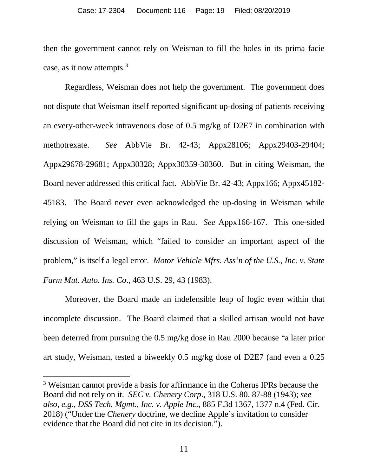then the government cannot rely on Weisman to fill the holes in its prima facie case, as it now attempts.<sup>[3](#page-18-0)</sup>

Regardless, Weisman does not help the government. The government does not dispute that Weisman itself reported significant up-dosing of patients receiving an every-other-week intravenous dose of 0.5 mg/kg of D2E7 in combination with methotrexate. *See* AbbVie Br. 42-43; Appx28106; Appx29403-29404; Appx29678-29681; Appx30328; Appx30359-30360. But in citing Weisman, the Board never addressed this critical fact. AbbVie Br. 42-43; Appx166; Appx45182- 45183. The Board never even acknowledged the up-dosing in Weisman while relying on Weisman to fill the gaps in Rau. *See* Appx166-167. This one-sided discussion of Weisman, which "failed to consider an important aspect of the problem," is itself a legal error. *Motor Vehicle Mfrs. Ass'n of the U.S., Inc. v. State Farm Mut. Auto. Ins. Co*., 463 U.S. 29, 43 (1983).

Moreover, the Board made an indefensible leap of logic even within that incomplete discussion. The Board claimed that a skilled artisan would not have been deterred from pursuing the 0.5 mg/kg dose in Rau 2000 because "a later prior art study, Weisman, tested a biweekly 0.5 mg/kg dose of D2E7 (and even a 0.25

<span id="page-18-0"></span> <sup>3</sup> Weisman cannot provide a basis for affirmance in the Coherus IPRs because the Board did not rely on it. *SEC v. Chenery Corp*., 318 U.S. 80, 87-88 (1943); *see also, e.g.*, *DSS Tech. Mgmt., Inc. v. Apple Inc.*, 885 F.3d 1367, 1377 n.4 (Fed. Cir. 2018) ("Under the *Chenery* doctrine, we decline Apple's invitation to consider evidence that the Board did not cite in its decision.").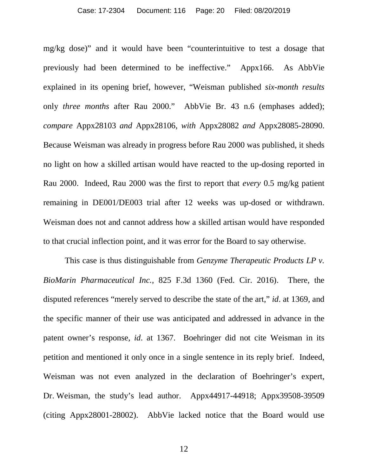mg/kg dose)" and it would have been "counterintuitive to test a dosage that previously had been determined to be ineffective." Appx166. As AbbVie explained in its opening brief, however, "Weisman published *six-month results* only *three months* after Rau 2000." AbbVie Br. 43 n.6 (emphases added); *compare* Appx28103 *and* Appx28106, *with* Appx28082 *and* Appx28085-28090. Because Weisman was already in progress before Rau 2000 was published, it sheds no light on how a skilled artisan would have reacted to the up-dosing reported in Rau 2000. Indeed, Rau 2000 was the first to report that *every* 0.5 mg/kg patient remaining in DE001/DE003 trial after 12 weeks was up-dosed or withdrawn. Weisman does not and cannot address how a skilled artisan would have responded to that crucial inflection point, and it was error for the Board to say otherwise.

This case is thus distinguishable from *Genzyme Therapeutic Products LP v. BioMarin Pharmaceutical Inc.*, 825 F.3d 1360 (Fed. Cir. 2016). There, the disputed references "merely served to describe the state of the art," *id*. at 1369, and the specific manner of their use was anticipated and addressed in advance in the patent owner's response, *id*. at 1367. Boehringer did not cite Weisman in its petition and mentioned it only once in a single sentence in its reply brief. Indeed, Weisman was not even analyzed in the declaration of Boehringer's expert, Dr. Weisman, the study's lead author. Appx44917-44918; Appx39508-39509 (citing Appx28001-28002). AbbVie lacked notice that the Board would use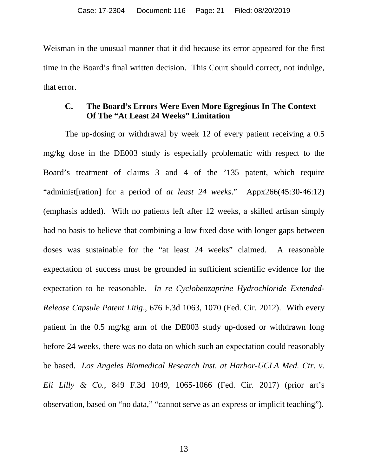Weisman in the unusual manner that it did because its error appeared for the first time in the Board's final written decision. This Court should correct, not indulge, that error.

## **C. The Board's Errors Were Even More Egregious In The Context Of The "At Least 24 Weeks" Limitation**

The up-dosing or withdrawal by week 12 of every patient receiving a 0.5 mg/kg dose in the DE003 study is especially problematic with respect to the Board's treatment of claims 3 and 4 of the '135 patent, which require "administ[ration] for a period of *at least 24 weeks*." Appx266(45:30-46:12) (emphasis added). With no patients left after 12 weeks, a skilled artisan simply had no basis to believe that combining a low fixed dose with longer gaps between doses was sustainable for the "at least 24 weeks" claimed. A reasonable expectation of success must be grounded in sufficient scientific evidence for the expectation to be reasonable. *In re Cyclobenzaprine Hydrochloride Extended-Release Capsule Patent Litig*., 676 F.3d 1063, 1070 (Fed. Cir. 2012). With every patient in the 0.5 mg/kg arm of the DE003 study up-dosed or withdrawn long before 24 weeks, there was no data on which such an expectation could reasonably be based. *Los Angeles Biomedical Research Inst. at Harbor-UCLA Med. Ctr. v. Eli Lilly & Co.*, 849 F.3d 1049, 1065-1066 (Fed. Cir. 2017) (prior art's observation, based on "no data," "cannot serve as an express or implicit teaching").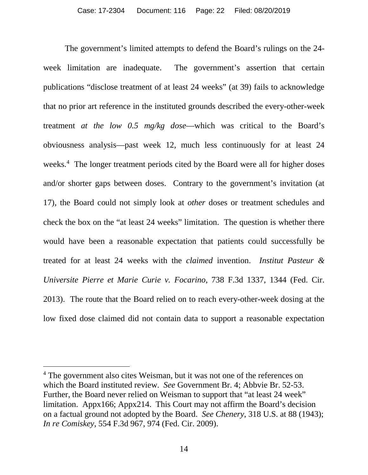The government's limited attempts to defend the Board's rulings on the 24 week limitation are inadequate. The government's assertion that certain publications "disclose treatment of at least 24 weeks" (at 39) fails to acknowledge that no prior art reference in the instituted grounds described the every-other-week treatment *at the low 0.5 mg/kg dose*—which was critical to the Board's obviousness analysis—past week 12, much less continuously for at least 24 weeks.<sup>[4](#page-21-0)</sup> The longer treatment periods cited by the Board were all for higher doses and/or shorter gaps between doses. Contrary to the government's invitation (at 17), the Board could not simply look at *other* doses or treatment schedules and check the box on the "at least 24 weeks" limitation. The question is whether there would have been a reasonable expectation that patients could successfully be treated for at least 24 weeks with the *claimed* invention. *Institut Pasteur & Universite Pierre et Marie Curie v. Focarino*, 738 F.3d 1337, 1344 (Fed. Cir. 2013). The route that the Board relied on to reach every-other-week dosing at the low fixed dose claimed did not contain data to support a reasonable expectation

<span id="page-21-0"></span><sup>&</sup>lt;sup>4</sup> The government also cites Weisman, but it was not one of the references on which the Board instituted review. *See* Government Br. 4; Abbvie Br. 52-53. Further, the Board never relied on Weisman to support that "at least 24 week" limitation. Appx166; Appx214. This Court may not affirm the Board's decision on a factual ground not adopted by the Board. *See Chenery*, 318 U.S. at 88 (1943); *In re Comiskey*, 554 F.3d 967, 974 (Fed. Cir. 2009).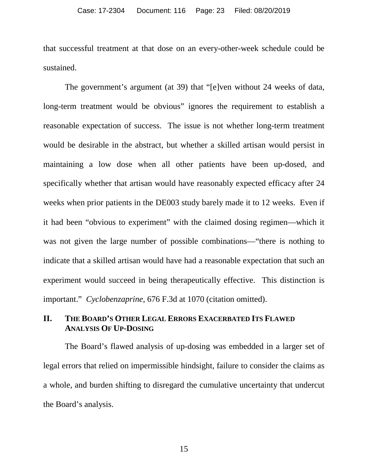that successful treatment at that dose on an every-other-week schedule could be sustained.

The government's argument (at 39) that "[e]ven without 24 weeks of data, long-term treatment would be obvious" ignores the requirement to establish a reasonable expectation of success. The issue is not whether long-term treatment would be desirable in the abstract, but whether a skilled artisan would persist in maintaining a low dose when all other patients have been up-dosed, and specifically whether that artisan would have reasonably expected efficacy after 24 weeks when prior patients in the DE003 study barely made it to 12 weeks. Even if it had been "obvious to experiment" with the claimed dosing regimen—which it was not given the large number of possible combinations—"there is nothing to indicate that a skilled artisan would have had a reasonable expectation that such an experiment would succeed in being therapeutically effective. This distinction is important." *Cyclobenzaprine*, 676 F.3d at 1070 (citation omitted).

## **II. THE BOARD'S OTHER LEGAL ERRORS EXACERBATED ITS FLAWED ANALYSIS OF UP-DOSING**

The Board's flawed analysis of up-dosing was embedded in a larger set of legal errors that relied on impermissible hindsight, failure to consider the claims as a whole, and burden shifting to disregard the cumulative uncertainty that undercut the Board's analysis.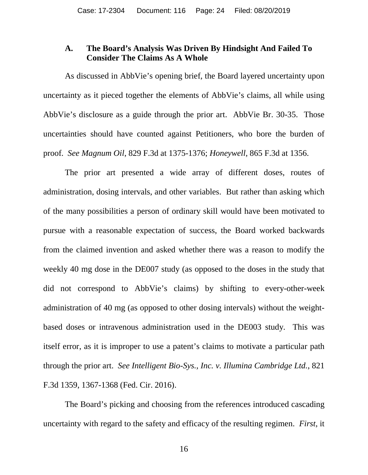### **A. The Board's Analysis Was Driven By Hindsight And Failed To Consider The Claims As A Whole**

As discussed in AbbVie's opening brief, the Board layered uncertainty upon uncertainty as it pieced together the elements of AbbVie's claims, all while using AbbVie's disclosure as a guide through the prior art. AbbVie Br. 30-35. Those uncertainties should have counted against Petitioners, who bore the burden of proof. *See Magnum Oil*, 829 F.3d at 1375-1376; *Honeywell*, 865 F.3d at 1356.

The prior art presented a wide array of different doses, routes of administration, dosing intervals, and other variables. But rather than asking which of the many possibilities a person of ordinary skill would have been motivated to pursue with a reasonable expectation of success, the Board worked backwards from the claimed invention and asked whether there was a reason to modify the weekly 40 mg dose in the DE007 study (as opposed to the doses in the study that did not correspond to AbbVie's claims) by shifting to every-other-week administration of 40 mg (as opposed to other dosing intervals) without the weightbased doses or intravenous administration used in the DE003 study. This was itself error, as it is improper to use a patent's claims to motivate a particular path through the prior art. *See Intelligent Bio-Sys., Inc. v. Illumina Cambridge Ltd.*, 821 F.3d 1359, 1367-1368 (Fed. Cir. 2016).

The Board's picking and choosing from the references introduced cascading uncertainty with regard to the safety and efficacy of the resulting regimen. *First*, it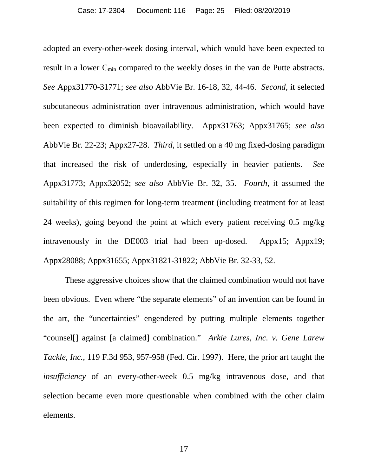adopted an every-other-week dosing interval, which would have been expected to result in a lower C<sub>min</sub> compared to the weekly doses in the van de Putte abstracts. *See* Appx31770-31771; *see also* AbbVie Br. 16-18, 32, 44-46. *Second*, it selected subcutaneous administration over intravenous administration, which would have been expected to diminish bioavailability. Appx31763; Appx31765; *see also* AbbVie Br. 22-23; Appx27-28. *Third*, it settled on a 40 mg fixed-dosing paradigm that increased the risk of underdosing, especially in heavier patients. *See* Appx31773; Appx32052; *see also* AbbVie Br. 32, 35. *Fourth*, it assumed the suitability of this regimen for long-term treatment (including treatment for at least 24 weeks), going beyond the point at which every patient receiving 0.5 mg/kg intravenously in the DE003 trial had been up-dosed. Appx15; Appx19; Appx28088; Appx31655; Appx31821-31822; AbbVie Br. 32-33, 52.

These aggressive choices show that the claimed combination would not have been obvious. Even where "the separate elements" of an invention can be found in the art, the "uncertainties" engendered by putting multiple elements together "counsel[] against [a claimed] combination." *Arkie Lures, Inc. v. Gene Larew Tackle, Inc.*, 119 F.3d 953, 957-958 (Fed. Cir. 1997). Here, the prior art taught the *insufficiency* of an every-other-week 0.5 mg/kg intravenous dose, and that selection became even more questionable when combined with the other claim elements.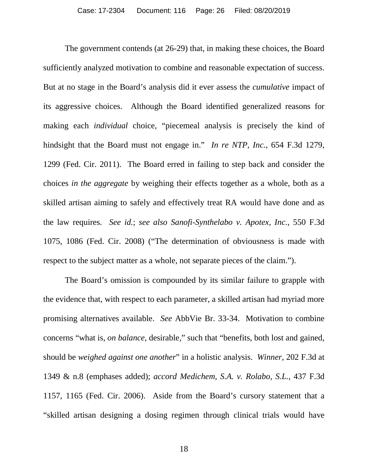The government contends (at 26-29) that, in making these choices, the Board sufficiently analyzed motivation to combine and reasonable expectation of success. But at no stage in the Board's analysis did it ever assess the *cumulative* impact of its aggressive choices. Although the Board identified generalized reasons for making each *individual* choice, "piecemeal analysis is precisely the kind of hindsight that the Board must not engage in." *In re NTP, Inc.*, 654 F.3d 1279, 1299 (Fed. Cir. 2011). The Board erred in failing to step back and consider the choices *in the aggregate* by weighing their effects together as a whole, both as a skilled artisan aiming to safely and effectively treat RA would have done and as the law requires. *See id.*; *see also Sanofi-Synthelabo v. Apotex, Inc.*, 550 F.3d 1075, 1086 (Fed. Cir. 2008) ("The determination of obviousness is made with respect to the subject matter as a whole, not separate pieces of the claim.").

The Board's omission is compounded by its similar failure to grapple with the evidence that, with respect to each parameter, a skilled artisan had myriad more promising alternatives available. *See* AbbVie Br. 33-34. Motivation to combine concerns "what is, *on balance*, desirable," such that "benefits, both lost and gained, should be *weighed against one another*" in a holistic analysis. *Winner*, 202 F.3d at 1349 & n.8 (emphases added); *accord Medichem, S.A. v. Rolabo, S.L.*, 437 F.3d 1157, 1165 (Fed. Cir. 2006). Aside from the Board's cursory statement that a "skilled artisan designing a dosing regimen through clinical trials would have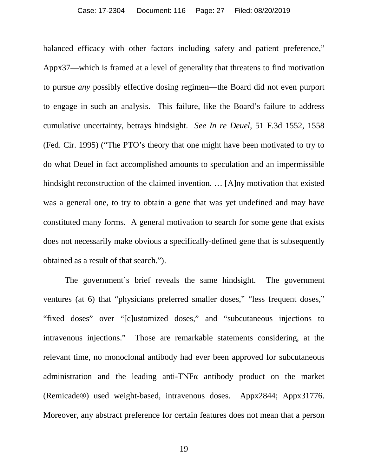balanced efficacy with other factors including safety and patient preference," Appx37—which is framed at a level of generality that threatens to find motivation to pursue *any* possibly effective dosing regimen—the Board did not even purport to engage in such an analysis. This failure, like the Board's failure to address cumulative uncertainty, betrays hindsight. *See In re Deuel*, 51 F.3d 1552, 1558 (Fed. Cir. 1995) ("The PTO's theory that one might have been motivated to try to do what Deuel in fact accomplished amounts to speculation and an impermissible hindsight reconstruction of the claimed invention. … [A]ny motivation that existed was a general one, to try to obtain a gene that was yet undefined and may have constituted many forms. A general motivation to search for some gene that exists does not necessarily make obvious a specifically-defined gene that is subsequently obtained as a result of that search.").

The government's brief reveals the same hindsight. The government ventures (at 6) that "physicians preferred smaller doses," "less frequent doses," "fixed doses" over "[c]ustomized doses," and "subcutaneous injections to intravenous injections." Those are remarkable statements considering, at the relevant time, no monoclonal antibody had ever been approved for subcutaneous administration and the leading anti-TNF $\alpha$  antibody product on the market (Remicade®) used weight-based, intravenous doses. Appx2844; Appx31776. Moreover, any abstract preference for certain features does not mean that a person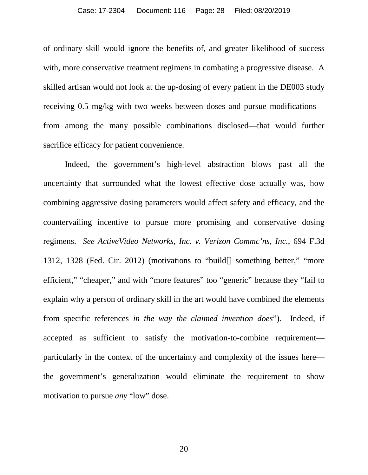#### Case: 17-2304 Document: 116 Page: 28 Filed: 08/20/2019

of ordinary skill would ignore the benefits of, and greater likelihood of success with, more conservative treatment regimens in combating a progressive disease. A skilled artisan would not look at the up-dosing of every patient in the DE003 study receiving 0.5 mg/kg with two weeks between doses and pursue modifications from among the many possible combinations disclosed—that would further sacrifice efficacy for patient convenience.

Indeed, the government's high-level abstraction blows past all the uncertainty that surrounded what the lowest effective dose actually was, how combining aggressive dosing parameters would affect safety and efficacy, and the countervailing incentive to pursue more promising and conservative dosing regimens. *See ActiveVideo Networks, Inc. v. Verizon Commc'ns, Inc.*, 694 F.3d 1312, 1328 (Fed. Cir. 2012) (motivations to "build[] something better," "more efficient," "cheaper," and with "more features" too "generic" because they "fail to explain why a person of ordinary skill in the art would have combined the elements from specific references *in the way the claimed invention does*"). Indeed, if accepted as sufficient to satisfy the motivation-to-combine requirement particularly in the context of the uncertainty and complexity of the issues here the government's generalization would eliminate the requirement to show motivation to pursue *any* "low" dose.

20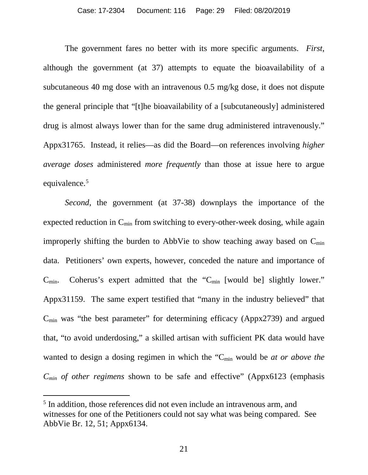The government fares no better with its more specific arguments. *First*, although the government (at 37) attempts to equate the bioavailability of a subcutaneous 40 mg dose with an intravenous 0.5 mg/kg dose, it does not dispute the general principle that "[t]he bioavailability of a [subcutaneously] administered drug is almost always lower than for the same drug administered intravenously." Appx31765. Instead, it relies—as did the Board—on references involving *higher average doses* administered *more frequently* than those at issue here to argue equivalence. [5](#page-28-0)

*Second*, the government (at 37-38) downplays the importance of the expected reduction in  $C_{\text{min}}$  from switching to every-other-week dosing, while again improperly shifting the burden to AbbVie to show teaching away based on  $C_{\min}$ data. Petitioners' own experts, however, conceded the nature and importance of  $C_{\text{min}}$ . Coherus's expert admitted that the " $C_{\text{min}}$  [would be] slightly lower." Appx31159. The same expert testified that "many in the industry believed" that  $C_{\text{min}}$  was "the best parameter" for determining efficacy (Appx2739) and argued that, "to avoid underdosing," a skilled artisan with sufficient PK data would have wanted to design a dosing regimen in which the "C<sub>min</sub> would be *at or above the Cmin of other regimens* shown to be safe and effective" (Appx6123 (emphasis

<span id="page-28-0"></span> <sup>5</sup> In addition, those references did not even include an intravenous arm, and witnesses for one of the Petitioners could not say what was being compared. See AbbVie Br. 12, 51; Appx6134.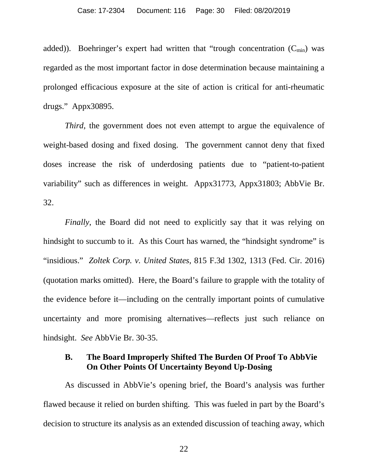added)). Boehringer's expert had written that "trough concentration  $(C_{\text{min}})$  was regarded as the most important factor in dose determination because maintaining a prolonged efficacious exposure at the site of action is critical for anti-rheumatic drugs." Appx30895.

*Third*, the government does not even attempt to argue the equivalence of weight-based dosing and fixed dosing. The government cannot deny that fixed doses increase the risk of underdosing patients due to "patient-to-patient variability" such as differences in weight. Appx31773, Appx31803; AbbVie Br. 32.

*Finally*, the Board did not need to explicitly say that it was relying on hindsight to succumb to it. As this Court has warned, the "hindsight syndrome" is "insidious." *Zoltek Corp. v. United States*, 815 F.3d 1302, 1313 (Fed. Cir. 2016) (quotation marks omitted). Here, the Board's failure to grapple with the totality of the evidence before it—including on the centrally important points of cumulative uncertainty and more promising alternatives—reflects just such reliance on hindsight. *See* AbbVie Br. 30-35.

## **B. The Board Improperly Shifted The Burden Of Proof To AbbVie On Other Points Of Uncertainty Beyond Up-Dosing**

As discussed in AbbVie's opening brief, the Board's analysis was further flawed because it relied on burden shifting. This was fueled in part by the Board's decision to structure its analysis as an extended discussion of teaching away, which

22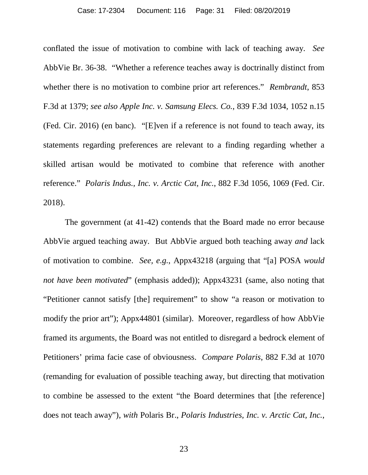conflated the issue of motivation to combine with lack of teaching away. *See* AbbVie Br. 36-38. "Whether a reference teaches away is doctrinally distinct from whether there is no motivation to combine prior art references." *Rembrandt*, 853 F.3d at 1379; *see also Apple Inc. v. Samsung Elecs. Co.*, 839 F.3d 1034, 1052 n.15 (Fed. Cir. 2016) (en banc). "[E]ven if a reference is not found to teach away, its statements regarding preferences are relevant to a finding regarding whether a skilled artisan would be motivated to combine that reference with another reference." *Polaris Indus., Inc. v. Arctic Cat, Inc.*, 882 F.3d 1056, 1069 (Fed. Cir. 2018).

The government (at 41-42) contends that the Board made no error because AbbVie argued teaching away. But AbbVie argued both teaching away *and* lack of motivation to combine. *See, e.g.*, Appx43218 (arguing that "[a] POSA *would not have been motivated*" (emphasis added)); Appx43231 (same, also noting that "Petitioner cannot satisfy [the] requirement" to show "a reason or motivation to modify the prior art"); Appx44801 (similar). Moreover, regardless of how AbbVie framed its arguments, the Board was not entitled to disregard a bedrock element of Petitioners' prima facie case of obviousness. *Compare Polaris*, 882 F.3d at 1070 (remanding for evaluation of possible teaching away, but directing that motivation to combine be assessed to the extent "the Board determines that [the reference] does not teach away"), *with* Polaris Br., *Polaris Industries, Inc. v. Arctic Cat, Inc.*,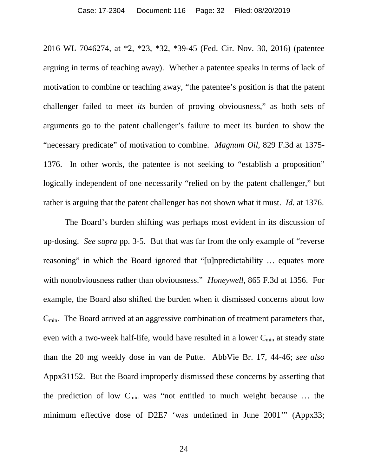2016 WL 7046274, at \*2, \*23, \*32, \*39-45 (Fed. Cir. Nov. 30, 2016) (patentee arguing in terms of teaching away). Whether a patentee speaks in terms of lack of motivation to combine or teaching away, "the patentee's position is that the patent challenger failed to meet *its* burden of proving obviousness," as both sets of arguments go to the patent challenger's failure to meet its burden to show the "necessary predicate" of motivation to combine. *Magnum Oil*, 829 F.3d at 1375- 1376. In other words, the patentee is not seeking to "establish a proposition" logically independent of one necessarily "relied on by the patent challenger," but rather is arguing that the patent challenger has not shown what it must. *Id.* at 1376.

The Board's burden shifting was perhaps most evident in its discussion of up-dosing. *See supra* pp. 3-5. But that was far from the only example of "reverse reasoning" in which the Board ignored that "[u]npredictability … equates more with nonobviousness rather than obviousness." *Honeywell*, 865 F.3d at 1356. For example, the Board also shifted the burden when it dismissed concerns about low  $C_{\text{min}}$ . The Board arrived at an aggressive combination of treatment parameters that, even with a two-week half-life, would have resulted in a lower  $C_{\text{min}}$  at steady state than the 20 mg weekly dose in van de Putte. AbbVie Br. 17, 44-46; *see also*  Appx31152. But the Board improperly dismissed these concerns by asserting that the prediction of low  $C_{\text{min}}$  was "not entitled to much weight because ... the minimum effective dose of D2E7 'was undefined in June 2001'" (Appx33;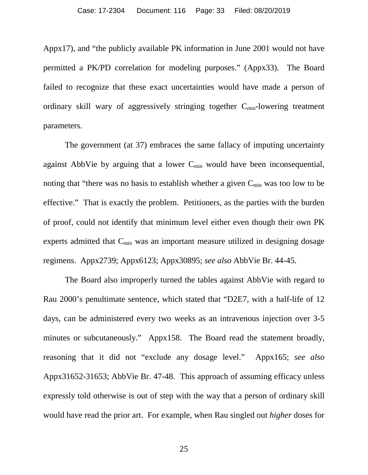Appx17), and "the publicly available PK information in June 2001 would not have permitted a PK/PD correlation for modeling purposes." (Appx33). The Board failed to recognize that these exact uncertainties would have made a person of ordinary skill wary of aggressively stringing together  $C_{\text{min}}$ -lowering treatment parameters.

The government (at 37) embraces the same fallacy of imputing uncertainty against AbbVie by arguing that a lower  $C_{\text{min}}$  would have been inconsequential, noting that "there was no basis to establish whether a given  $C_{\text{min}}$  was too low to be effective." That is exactly the problem. Petitioners, as the parties with the burden of proof, could not identify that minimum level either even though their own PK experts admitted that  $C_{\min}$  was an important measure utilized in designing dosage regimens. Appx2739; Appx6123; Appx30895; *see also* AbbVie Br. 44-45.

The Board also improperly turned the tables against AbbVie with regard to Rau 2000's penultimate sentence, which stated that "D2E7, with a half-life of 12 days, can be administered every two weeks as an intravenous injection over 3-5 minutes or subcutaneously." Appx158. The Board read the statement broadly, reasoning that it did not "exclude any dosage level." Appx165; *see also* Appx31652-31653; AbbVie Br. 47-48. This approach of assuming efficacy unless expressly told otherwise is out of step with the way that a person of ordinary skill would have read the prior art. For example, when Rau singled out *higher* doses for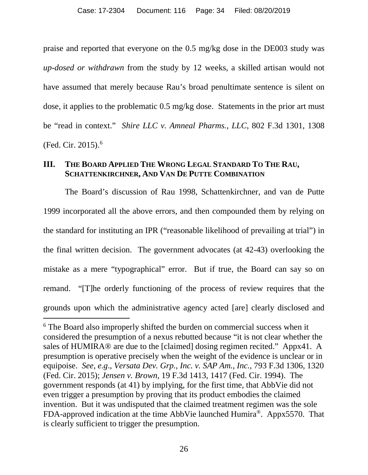praise and reported that everyone on the 0.5 mg/kg dose in the DE003 study was *up-dosed or withdrawn* from the study by 12 weeks, a skilled artisan would not have assumed that merely because Rau's broad penultimate sentence is silent on dose, it applies to the problematic 0.5 mg/kg dose. Statements in the prior art must be "read in context." *Shire LLC v. Amneal Pharms., LLC*, 802 F.3d 1301, 1308 (Fed. Cir. 2015).[6](#page-33-0)

### **III. THE BOARD APPLIED THE WRONG LEGAL STANDARD TO THE RAU, SCHATTENKIRCHNER, AND VAN DE PUTTE COMBINATION**

The Board's discussion of Rau 1998, Schattenkirchner, and van de Putte 1999 incorporated all the above errors, and then compounded them by relying on the standard for instituting an IPR ("reasonable likelihood of prevailing at trial") in the final written decision. The government advocates (at 42-43) overlooking the mistake as a mere "typographical" error. But if true, the Board can say so on remand. "[T]he orderly functioning of the process of review requires that the grounds upon which the administrative agency acted [are] clearly disclosed and

<span id="page-33-0"></span><sup>&</sup>lt;sup>6</sup> The Board also improperly shifted the burden on commercial success when it considered the presumption of a nexus rebutted because "it is not clear whether the sales of HUMIRA® are due to the [claimed] dosing regimen recited." Appx41. A presumption is operative precisely when the weight of the evidence is unclear or in equipoise. *See, e.g*., *Versata Dev. Grp., Inc. v. SAP Am., Inc.*, 793 F.3d 1306, 1320 (Fed. Cir. 2015); *Jensen v. Brown*, 19 F.3d 1413, 1417 (Fed. Cir. 1994). The government responds (at 41) by implying, for the first time, that AbbVie did not even trigger a presumption by proving that its product embodies the claimed invention. But it was undisputed that the claimed treatment regimen was the sole FDA-approved indication at the time AbbVie launched Humira®. Appx5570. That is clearly sufficient to trigger the presumption.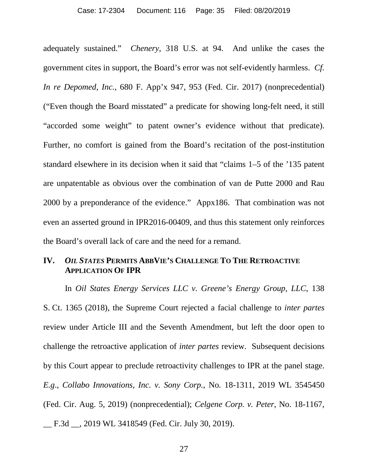adequately sustained." *Chenery*, 318 U.S. at 94. And unlike the cases the government cites in support, the Board's error was not self-evidently harmless. *Cf. In re Depomed, Inc.*, 680 F. App'x 947, 953 (Fed. Cir. 2017) (nonprecedential) ("Even though the Board misstated" a predicate for showing long-felt need, it still "accorded some weight" to patent owner's evidence without that predicate). Further, no comfort is gained from the Board's recitation of the post-institution standard elsewhere in its decision when it said that "claims 1–5 of the '135 patent are unpatentable as obvious over the combination of van de Putte 2000 and Rau 2000 by a preponderance of the evidence." Appx186. That combination was not even an asserted ground in IPR2016-00409, and thus this statement only reinforces the Board's overall lack of care and the need for a remand.

### **IV.** *OIL STATES* **PERMITS ABBVIE'S CHALLENGE TO THE RETROACTIVE APPLICATION OF IPR**

In *Oil States Energy Services LLC v. Greene's Energy Group, LLC*, 138 S. Ct. 1365 (2018), the Supreme Court rejected a facial challenge to *inter partes* review under Article III and the Seventh Amendment, but left the door open to challenge the retroactive application of *inter partes* review. Subsequent decisions by this Court appear to preclude retroactivity challenges to IPR at the panel stage. *E.g*., *Collabo Innovations, Inc. v. Sony Corp.*, No. 18-1311, 2019 WL 3545450 (Fed. Cir. Aug. 5, 2019) (nonprecedential); *Celgene Corp. v. Peter*, No. 18-1167, \_\_ F.3d \_\_, 2019 WL 3418549 (Fed. Cir. July 30, 2019).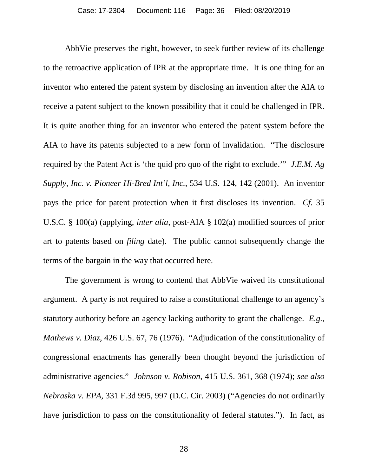AbbVie preserves the right, however, to seek further review of its challenge to the retroactive application of IPR at the appropriate time. It is one thing for an inventor who entered the patent system by disclosing an invention after the AIA to receive a patent subject to the known possibility that it could be challenged in IPR. It is quite another thing for an inventor who entered the patent system before the AIA to have its patents subjected to a new form of invalidation. "The disclosure required by the Patent Act is 'the quid pro quo of the right to exclude.'" *J.E.M. Ag Supply, Inc. v. Pioneer Hi-Bred Int'l, Inc.*, 534 U.S. 124, 142 (2001). An inventor pays the price for patent protection when it first discloses its invention. *Cf.* 35 U.S.C. § 100(a) (applying, *inter alia*, post-AIA § 102(a) modified sources of prior art to patents based on *filing* date). The public cannot subsequently change the terms of the bargain in the way that occurred here.

The government is wrong to contend that AbbVie waived its constitutional argument. A party is not required to raise a constitutional challenge to an agency's statutory authority before an agency lacking authority to grant the challenge. *E.g.*, *Mathews v. Diaz*, 426 U.S. 67, 76 (1976). "Adjudication of the constitutionality of congressional enactments has generally been thought beyond the jurisdiction of administrative agencies." *Johnson v. Robison*, 415 U.S. 361, 368 (1974); *see also Nebraska v. EPA*, 331 F.3d 995, 997 (D.C. Cir. 2003) ("Agencies do not ordinarily have jurisdiction to pass on the constitutionality of federal statutes."). In fact, as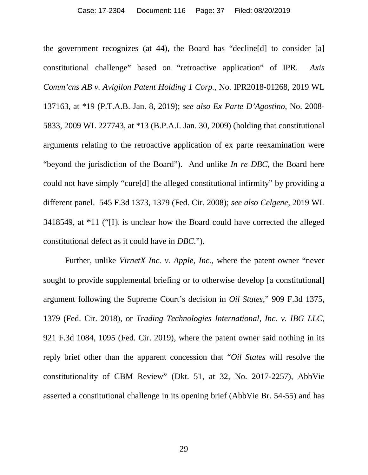the government recognizes (at 44), the Board has "decline[d] to consider [a] constitutional challenge" based on "retroactive application" of IPR. *Axis Comm'cns AB v. Avigilon Patent Holding 1 Corp.*, No. IPR2018-01268, 2019 WL 137163, at \*19 (P.T.A.B. Jan. 8, 2019); *see also Ex Parte D'Agostino*, No. 2008- 5833, 2009 WL 227743, at \*13 (B.P.A.I. Jan. 30, 2009) (holding that constitutional arguments relating to the retroactive application of ex parte reexamination were "beyond the jurisdiction of the Board"). And unlike *In re DBC*, the Board here could not have simply "cure[d] the alleged constitutional infirmity" by providing a different panel. 545 F.3d 1373, 1379 (Fed. Cir. 2008); *see also Celgene*, 2019 WL 3418549, at \*11 ("[I]t is unclear how the Board could have corrected the alleged constitutional defect as it could have in *DBC*.").

Further, unlike *VirnetX Inc. v. Apple, Inc.*, where the patent owner "never sought to provide supplemental briefing or to otherwise develop [a constitutional] argument following the Supreme Court's decision in *Oil States*," 909 F.3d 1375, 1379 (Fed. Cir. 2018), or *Trading Technologies International, Inc. v. IBG LLC*, 921 F.3d 1084, 1095 (Fed. Cir. 2019), where the patent owner said nothing in its reply brief other than the apparent concession that "*Oil States* will resolve the constitutionality of CBM Review" (Dkt. 51, at 32, No. 2017-2257), AbbVie asserted a constitutional challenge in its opening brief (AbbVie Br. 54-55) and has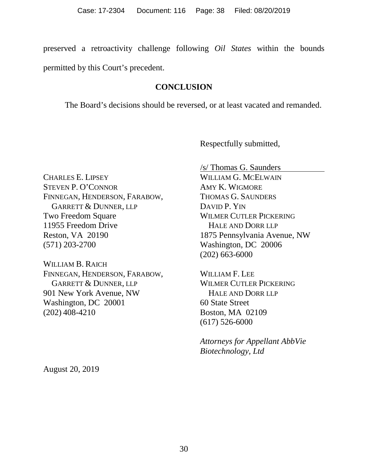preserved a retroactivity challenge following *Oil States* within the bounds permitted by this Court's precedent.

#### **CONCLUSION**

The Board's decisions should be reversed, or at least vacated and remanded.

Respectfully submitted,

CHARLES E. LIPSEY STEVEN P. O'CONNOR FINNEGAN, HENDERSON, FARABOW, GARRETT & DUNNER, LLP Two Freedom Square 11955 Freedom Drive Reston, VA 20190 (571) 203-2700

WILLIAM B. RAICH FINNEGAN, HENDERSON, FARABOW, GARRETT & DUNNER, LLP 901 New York Avenue, NW Washington, DC 20001 (202) 408-4210

/s/ Thomas G. Saunders

WILLIAM G. MCELWAIN AMY K. WIGMORE THOMAS G. SAUNDERS DAVID P. YIN WILMER CUTLER PICKERING HALE AND DORR LLP 1875 Pennsylvania Avenue, NW Washington, DC 20006 (202) 663-6000

WILLIAM F. LEE WILMER CUTLER PICKERING HALE AND DORR LLP 60 State Street Boston, MA 02109 (617) 526-6000

*Attorneys for Appellant AbbVie Biotechnology, Ltd*

August 20, 2019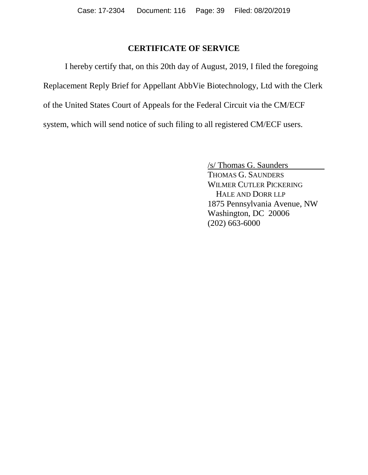## **CERTIFICATE OF SERVICE**

I hereby certify that, on this 20th day of August, 2019, I filed the foregoing Replacement Reply Brief for Appellant AbbVie Biotechnology, Ltd with the Clerk of the United States Court of Appeals for the Federal Circuit via the CM/ECF system, which will send notice of such filing to all registered CM/ECF users.

> /s/ Thomas G. Saunders THOMAS G. SAUNDERS WILMER CUTLER PICKERING HALE AND DORR LLP 1875 Pennsylvania Avenue, NW Washington, DC 20006 (202) 663-6000